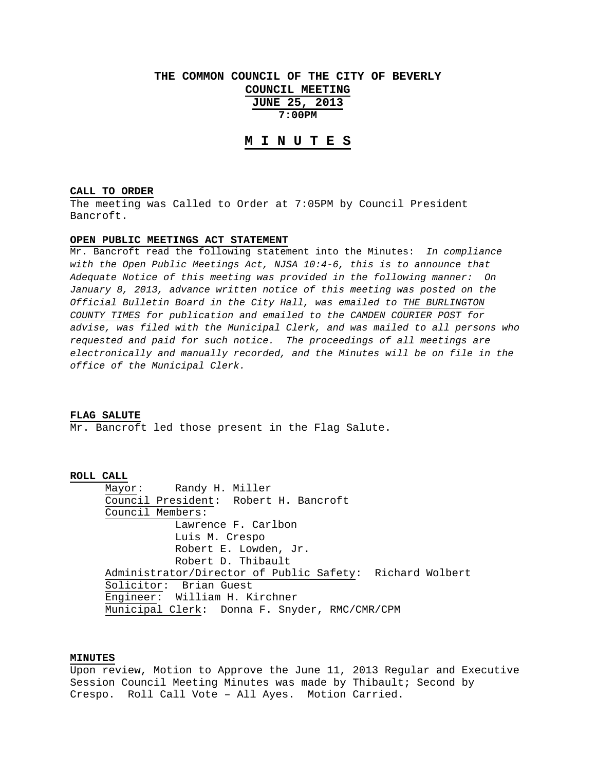# **THE COMMON COUNCIL OF THE CITY OF BEVERLY COUNCIL MEETING JUNE 25, 2013**

**7:00PM** 

# **M I N U T E S**

### **CALL TO ORDER**

The meeting was Called to Order at 7:05PM by Council President Bancroft.

# **OPEN PUBLIC MEETINGS ACT STATEMENT**

Mr. Bancroft read the following statement into the Minutes: *In compliance with the Open Public Meetings Act, NJSA 10:4-6, this is to announce that Adequate Notice of this meeting was provided in the following manner: On January 8, 2013, advance written notice of this meeting was posted on the Official Bulletin Board in the City Hall, was emailed to THE BURLINGTON COUNTY TIMES for publication and emailed to the CAMDEN COURIER POST for advise, was filed with the Municipal Clerk, and was mailed to all persons who requested and paid for such notice. The proceedings of all meetings are electronically and manually recorded, and the Minutes will be on file in the office of the Municipal Clerk.* 

#### **FLAG SALUTE**

Mr. Bancroft led those present in the Flag Salute.

### **ROLL CALL**

 Mayor: Randy H. Miller Council President: Robert H. Bancroft Council Members: Lawrence F. Carlbon Luis M. Crespo Robert E. Lowden, Jr. Robert D. Thibault Administrator/Director of Public Safety: Richard Wolbert Solicitor: Brian Guest Engineer: William H. Kirchner Municipal Clerk: Donna F. Snyder, RMC/CMR/CPM

# **MINUTES**

Upon review, Motion to Approve the June 11, 2013 Regular and Executive Session Council Meeting Minutes was made by Thibault; Second by Crespo. Roll Call Vote – All Ayes. Motion Carried.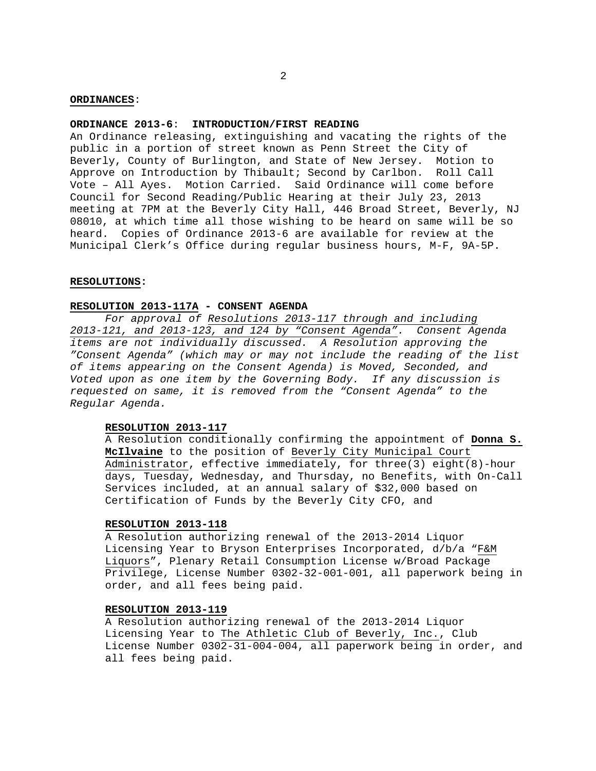## **ORDINANCES**:

## **ORDINANCE 2013-6**: **INTRODUCTION/FIRST READING**

An Ordinance releasing, extinguishing and vacating the rights of the public in a portion of street known as Penn Street the City of Beverly, County of Burlington, and State of New Jersey. Motion to Approve on Introduction by Thibault; Second by Carlbon. Roll Call Vote – All Ayes. Motion Carried. Said Ordinance will come before Council for Second Reading/Public Hearing at their July 23, 2013 meeting at 7PM at the Beverly City Hall, 446 Broad Street, Beverly, NJ 08010, at which time all those wishing to be heard on same will be so heard. Copies of Ordinance 2013-6 are available for review at the Municipal Clerk's Office during regular business hours, M-F, 9A-5P.

#### **RESOLUTIONS:**

# **RESOLUTION 2013-117A - CONSENT AGENDA**

*For approval of Resolutions 2013-117 through and including 2013-121, and 2013-123, and 124 by "Consent Agenda". Consent Agenda items are not individually discussed. A Resolution approving the "Consent Agenda" (which may or may not include the reading of the list of items appearing on the Consent Agenda) is Moved, Seconded, and Voted upon as one item by the Governing Body. If any discussion is requested on same, it is removed from the "Consent Agenda" to the Regular Agenda.* 

# **RESOLUTION 2013-117**

A Resolution conditionally confirming the appointment of **Donna S. McIlvaine** to the position of Beverly City Municipal Court Administrator, effective immediately, for three(3) eight(8)-hour days, Tuesday, Wednesday, and Thursday, no Benefits, with On-Call Services included, at an annual salary of \$32,000 based on Certification of Funds by the Beverly City CFO, and

# **RESOLUTION 2013-118**

A Resolution authorizing renewal of the 2013-2014 Liquor Licensing Year to Bryson Enterprises Incorporated, d/b/a "F&M Liquors", Plenary Retail Consumption License w/Broad Package Privilege, License Number 0302-32-001-001, all paperwork being in order, and all fees being paid.

# **RESOLUTION 2013-119**

A Resolution authorizing renewal of the 2013-2014 Liquor Licensing Year to The Athletic Club of Beverly, Inc., Club License Number 0302-31-004-004, all paperwork being in order, and all fees being paid.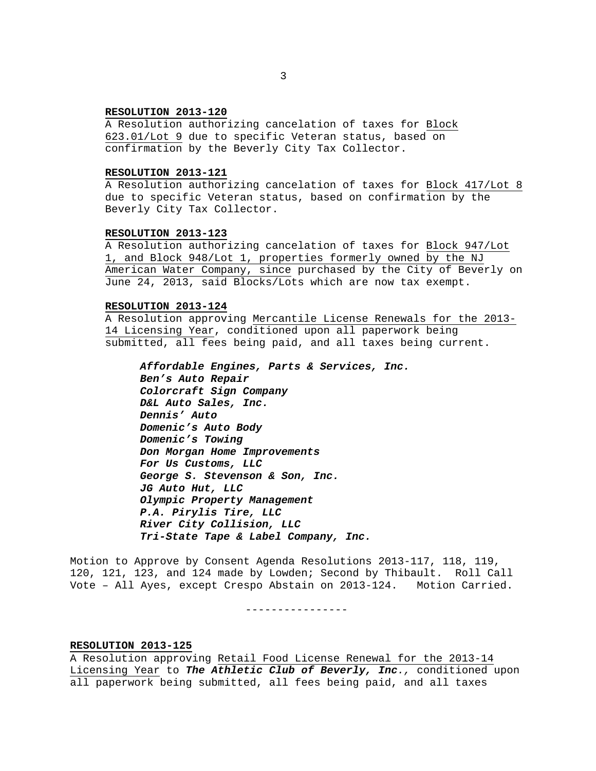## **RESOLUTION 2013-120**

A Resolution authorizing cancelation of taxes for Block 623.01/Lot 9 due to specific Veteran status, based on confirmation by the Beverly City Tax Collector.

## **RESOLUTION 2013-121**

A Resolution authorizing cancelation of taxes for Block 417/Lot 8 due to specific Veteran status, based on confirmation by the Beverly City Tax Collector.

#### **RESOLUTION 2013-123**

A Resolution authorizing cancelation of taxes for Block 947/Lot 1, and Block 948/Lot 1, properties formerly owned by the NJ American Water Company, since purchased by the City of Beverly on June 24, 2013, said Blocks/Lots which are now tax exempt.

# **RESOLUTION 2013-124**

A Resolution approving Mercantile License Renewals for the 2013- 14 Licensing Year, conditioned upon all paperwork being submitted, all fees being paid, and all taxes being current.

```
Affordable Engines, Parts & Services, Inc. 
Ben's Auto Repair 
Colorcraft Sign Company 
D&L Auto Sales, Inc. 
Dennis' Auto 
Domenic's Auto Body 
Domenic's Towing 
Don Morgan Home Improvements 
For Us Customs, LLC 
George S. Stevenson & Son, Inc. 
JG Auto Hut, LLC 
Olympic Property Management 
P.A. Pirylis Tire, LLC 
River City Collision, LLC 
Tri-State Tape & Label Company, Inc.
```
Motion to Approve by Consent Agenda Resolutions 2013-117, 118, 119, 120, 121, 123, and 124 made by Lowden; Second by Thibault. Roll Call Vote – All Ayes, except Crespo Abstain on 2013-124. Motion Carried.

----------------

## **RESOLUTION 2013-125**

A Resolution approving Retail Food License Renewal for the 2013-14 Licensing Year to *The Athletic Club of Beverly, Inc.,* conditioned upon all paperwork being submitted, all fees being paid, and all taxes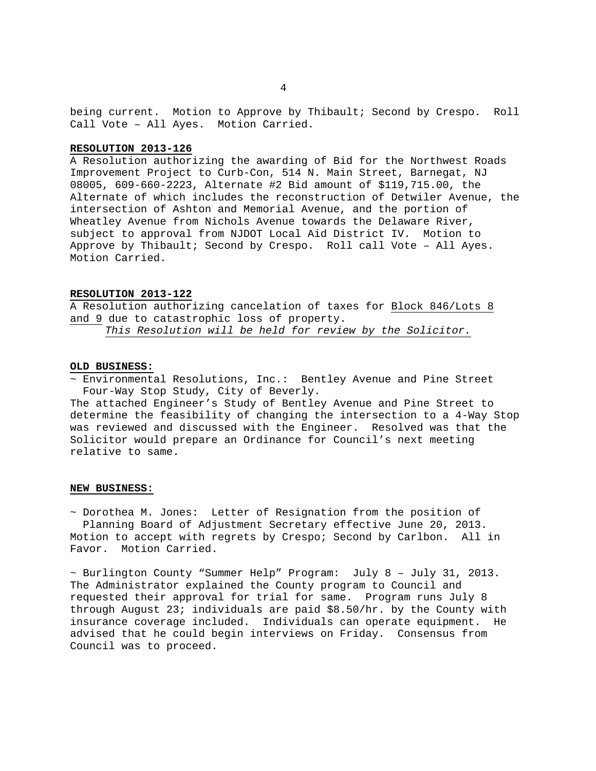being current. Motion to Approve by Thibault; Second by Crespo. Roll Call Vote – All Ayes. Motion Carried.

## **RESOLUTION 2013-126**

A Resolution authorizing the awarding of Bid for the Northwest Roads Improvement Project to Curb-Con, 514 N. Main Street, Barnegat, NJ 08005, 609-660-2223, Alternate #2 Bid amount of \$119,715.00, the Alternate of which includes the reconstruction of Detwiler Avenue, the intersection of Ashton and Memorial Avenue, and the portion of Wheatley Avenue from Nichols Avenue towards the Delaware River, subject to approval from NJDOT Local Aid District IV. Motion to Approve by Thibault; Second by Crespo. Roll call Vote – All Ayes. Motion Carried.

# **RESOLUTION 2013-122**

A Resolution authorizing cancelation of taxes for Block 846/Lots 8 and 9 due to catastrophic loss of property. *This Resolution will be held for review by the Solicitor.*

# **OLD BUSINESS:**

~ Environmental Resolutions, Inc.: Bentley Avenue and Pine Street Four-Way Stop Study, City of Beverly.

The attached Engineer's Study of Bentley Avenue and Pine Street to determine the feasibility of changing the intersection to a 4-Way Stop was reviewed and discussed with the Engineer. Resolved was that the Solicitor would prepare an Ordinance for Council's next meeting relative to same.

## **NEW BUSINESS:**

~ Dorothea M. Jones: Letter of Resignation from the position of Planning Board of Adjustment Secretary effective June 20, 2013. Motion to accept with regrets by Crespo; Second by Carlbon. All in Favor. Motion Carried.

 $\sim$  Burlington County "Summer Help" Program: July 8 - July 31, 2013. The Administrator explained the County program to Council and requested their approval for trial for same. Program runs July 8 through August 23; individuals are paid \$8.50/hr. by the County with insurance coverage included. Individuals can operate equipment. He advised that he could begin interviews on Friday. Consensus from Council was to proceed.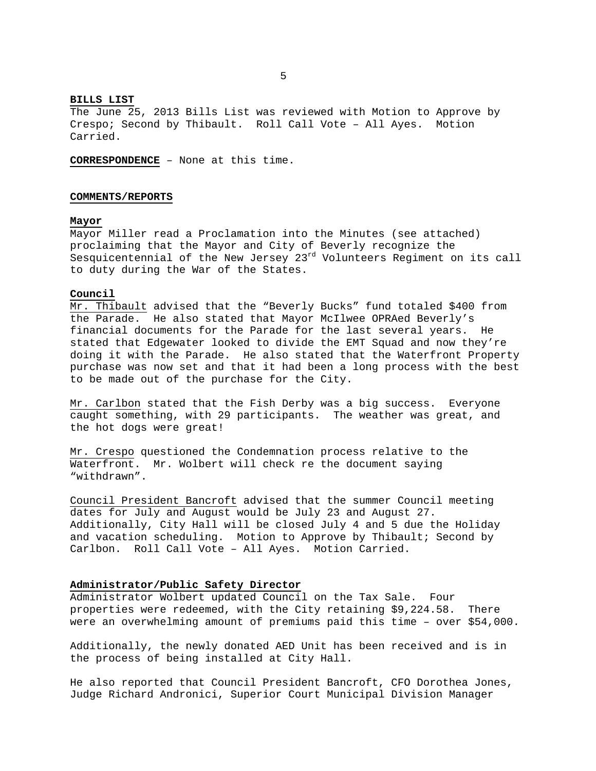#### **BILLS LIST**

The June 25, 2013 Bills List was reviewed with Motion to Approve by Crespo; Second by Thibault. Roll Call Vote – All Ayes. Motion Carried.

**CORRESPONDENCE** – None at this time.

#### **COMMENTS/REPORTS**

### **Mayor**

Mayor Miller read a Proclamation into the Minutes (see attached) proclaiming that the Mayor and City of Beverly recognize the Sesquicentennial of the New Jersey  $23^{rd}$  Volunteers Regiment on its call to duty during the War of the States.

# **Council**

Mr. Thibault advised that the "Beverly Bucks" fund totaled \$400 from the Parade. He also stated that Mayor McIlwee OPRAed Beverly's financial documents for the Parade for the last several years. He stated that Edgewater looked to divide the EMT Squad and now they're doing it with the Parade. He also stated that the Waterfront Property purchase was now set and that it had been a long process with the best to be made out of the purchase for the City.

Mr. Carlbon stated that the Fish Derby was a big success. Everyone caught something, with 29 participants. The weather was great, and the hot dogs were great!

Mr. Crespo questioned the Condemnation process relative to the Waterfront. Mr. Wolbert will check re the document saying "withdrawn".

Council President Bancroft advised that the summer Council meeting dates for July and August would be July 23 and August 27. Additionally, City Hall will be closed July 4 and 5 due the Holiday and vacation scheduling. Motion to Approve by Thibault; Second by Carlbon. Roll Call Vote – All Ayes. Motion Carried.

## **Administrator/Public Safety Director**

Administrator Wolbert updated Council on the Tax Sale. Four properties were redeemed, with the City retaining \$9,224.58. There were an overwhelming amount of premiums paid this time – over \$54,000.

Additionally, the newly donated AED Unit has been received and is in the process of being installed at City Hall.

He also reported that Council President Bancroft, CFO Dorothea Jones, Judge Richard Andronici, Superior Court Municipal Division Manager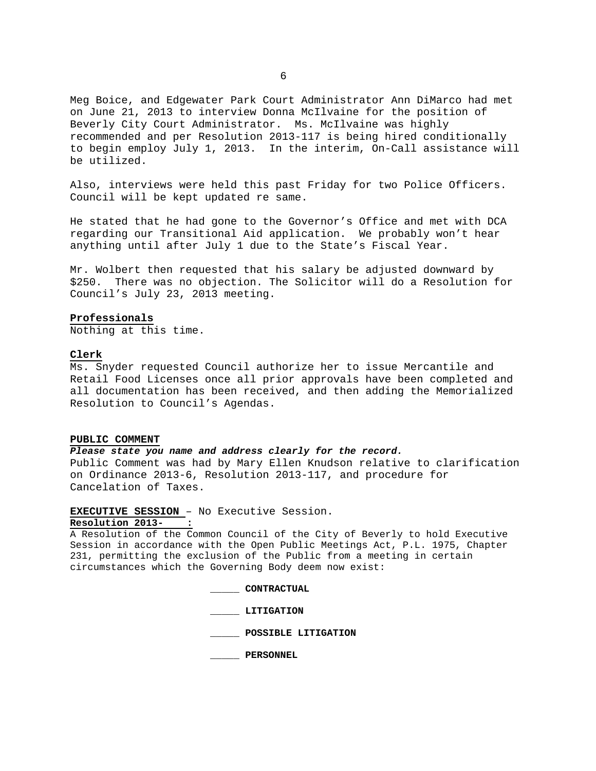Meg Boice, and Edgewater Park Court Administrator Ann DiMarco had met on June 21, 2013 to interview Donna McIlvaine for the position of Beverly City Court Administrator. Ms. McIlvaine was highly recommended and per Resolution 2013-117 is being hired conditionally to begin employ July 1, 2013. In the interim, On-Call assistance will be utilized.

Also, interviews were held this past Friday for two Police Officers. Council will be kept updated re same.

He stated that he had gone to the Governor's Office and met with DCA regarding our Transitional Aid application. We probably won't hear anything until after July 1 due to the State's Fiscal Year.

Mr. Wolbert then requested that his salary be adjusted downward by \$250. There was no objection. The Solicitor will do a Resolution for Council's July 23, 2013 meeting.

#### **Professionals**

Nothing at this time.

#### **Clerk**

Ms. Snyder requested Council authorize her to issue Mercantile and Retail Food Licenses once all prior approvals have been completed and all documentation has been received, and then adding the Memorialized Resolution to Council's Agendas.

# **PUBLIC COMMENT**

# *Please state you name and address clearly for the record.*

Public Comment was had by Mary Ellen Knudson relative to clarification on Ordinance 2013-6, Resolution 2013-117, and procedure for Cancelation of Taxes.

### **EXECUTIVE SESSION** – No Executive Session.

# Resolution 2013-

A Resolution of the Common Council of the City of Beverly to hold Executive Session in accordance with the Open Public Meetings Act, P.L. 1975, Chapter 231, permitting the exclusion of the Public from a meeting in certain circumstances which the Governing Body deem now exist:

**\_\_\_\_\_ CONTRACTUAL** 

 **\_\_\_\_\_ LITIGATION** 

 **\_\_\_\_\_ POSSIBLE LITIGATION** 

 **\_\_\_\_\_ PERSONNEL**